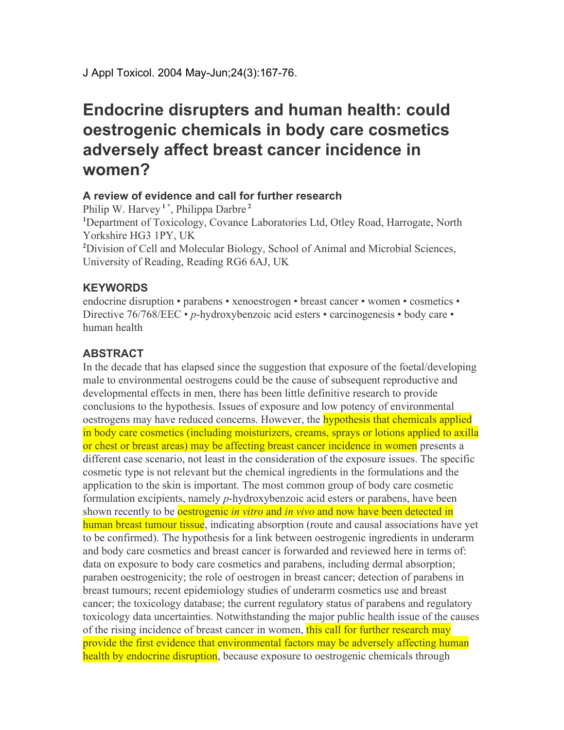## **Endocrine disrupters and human health: could oestrogenic chemicals in body care cosmetics adversely affect breast cancer incidence in women?**

## **A review of evidence and call for further research**

Philip W. Harvey **<sup>1</sup> \*** , Philippa Darbre **<sup>2</sup> <sup>1</sup>**Department of Toxicology, Covance Laboratories Ltd, Otley Road, Harrogate, North Yorkshire HG3 1PY, UK **<sup>2</sup>**Division of Cell and Molecular Biology, School of Animal and Microbial Sciences, University of Reading, Reading RG6 6AJ, UK

## **KEYWORDS**

endocrine disruption • parabens • xenoestrogen • breast cancer • women • cosmetics • Directive 76/768/EEC • *p*-hydroxybenzoic acid esters • carcinogenesis • body care • human health

## **ABSTRACT**

In the decade that has elapsed since the suggestion that exposure of the foetal/developing male to environmental oestrogens could be the cause of subsequent reproductive and developmental effects in men, there has been little definitive research to provide conclusions to the hypothesis. Issues of exposure and low potency of environmental oestrogens may have reduced concerns. However, the hypothesis that chemicals applied in body care cosmetics (including moisturizers, creams, sprays or lotions applied to axilla or chest or breast areas) may be affecting breast cancer incidence in women presents a different case scenario, not least in the consideration of the exposure issues. The specific cosmetic type is not relevant but the chemical ingredients in the formulations and the application to the skin is important. The most common group of body care cosmetic formulation excipients, namely *p*-hydroxybenzoic acid esters or parabens, have been shown recently to be *oestrogenic in vitro* and *in vivo* and now have been detected in human breast tumour tissue, indicating absorption (route and causal associations have yet to be confirmed). The hypothesis for a link between oestrogenic ingredients in underarm and body care cosmetics and breast cancer is forwarded and reviewed here in terms of: data on exposure to body care cosmetics and parabens, including dermal absorption; paraben oestrogenicity; the role of oestrogen in breast cancer; detection of parabens in breast tumours; recent epidemiology studies of underarm cosmetics use and breast cancer; the toxicology database; the current regulatory status of parabens and regulatory toxicology data uncertainties. Notwithstanding the major public health issue of the causes of the rising incidence of breast cancer in women, this call for further research may provide the first evidence that environmental factors may be adversely affecting human health by endocrine disruption, because exposure to oestrogenic chemicals through